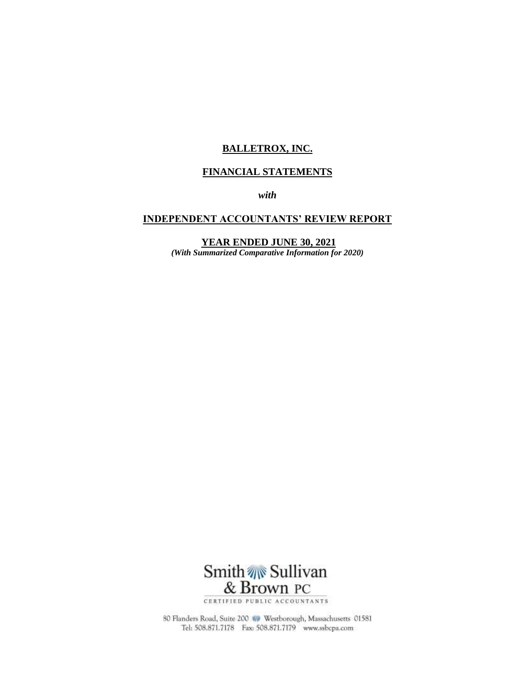# **FINANCIAL STATEMENTS**

*with*

# **INDEPENDENT ACCOUNTANTS' REVIEW REPORT**

**YEAR ENDED JUNE 30, 2021** *(With Summarized Comparative Information for 2020)*



CERTIFIED PUBLIC ACCOUNTANTS

80 Flanders Road, Suite 200 % Westborough, Massachusetts 01581 Tel: 508.871.7178 Fax: 508.871.7179 www.ssbcpa.com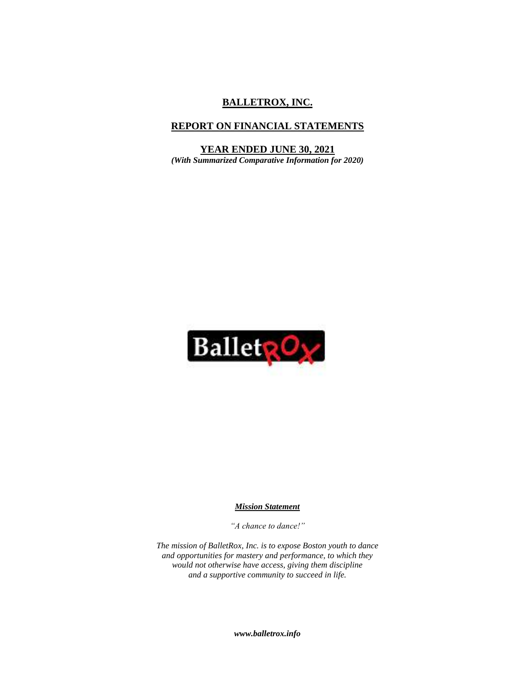# **REPORT ON FINANCIAL STATEMENTS**

**YEAR ENDED JUNE 30, 2021**

*(With Summarized Comparative Information for 2020)*



# *Mission Statement*

*"A chance to dance!"*

*The mission of BalletRox, Inc. is to expose Boston youth to dance and opportunities for mastery and performance, to which they would not otherwise have access, giving them discipline and a supportive community to succeed in life.*

*www.balletrox.info*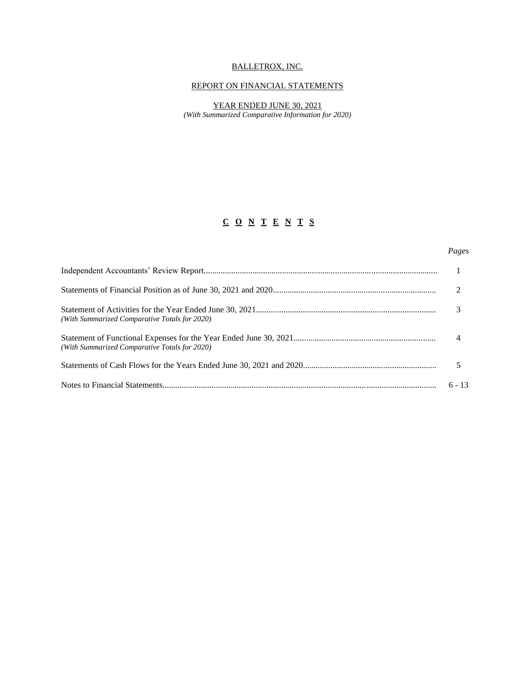# REPORT ON FINANCIAL STATEMENTS

#### YEAR ENDED JUNE 30, 2021 *(With Summarized Comparative Information for 2020)*

# **C O N T E N T S**

| (With Summarized Comparative Totals for 2020) |          |
|-----------------------------------------------|----------|
| (With Summarized Comparative Totals for 2020) |          |
|                                               |          |
|                                               | $6 - 13$ |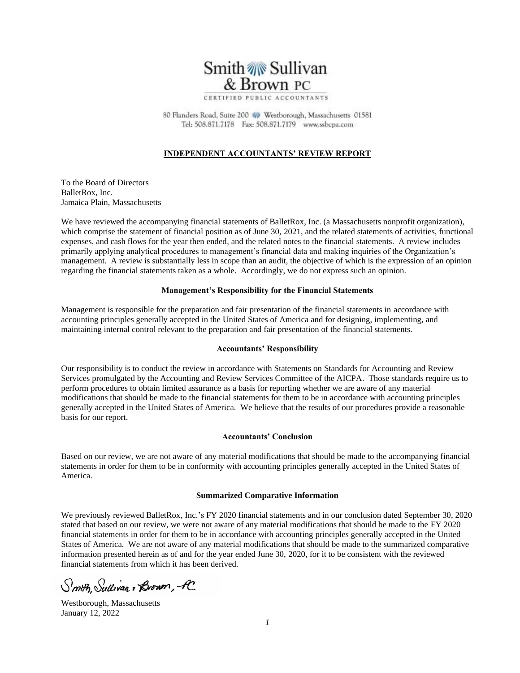# Smith **W** Sullivan & Brown PC

CERTIFIED PUBLIC ACCOUNTANTS

80 Flanders Road, Suite 200 %% Westborough, Massachusetts 01581 Tel: 508.871.7178 Fax: 508.871.7179 www.ssbcpa.com

# **INDEPENDENT ACCOUNTANTS' REVIEW REPORT**

To the Board of Directors BalletRox, Inc. Jamaica Plain, Massachusetts

We have reviewed the accompanying financial statements of BalletRox, Inc. (a Massachusetts nonprofit organization), which comprise the statement of financial position as of June 30, 2021, and the related statements of activities, functional expenses, and cash flows for the year then ended, and the related notes to the financial statements. A review includes primarily applying analytical procedures to management's financial data and making inquiries of the Organization's management. A review is substantially less in scope than an audit, the objective of which is the expression of an opinion regarding the financial statements taken as a whole. Accordingly, we do not express such an opinion.

#### **Management's Responsibility for the Financial Statements**

Management is responsible for the preparation and fair presentation of the financial statements in accordance with accounting principles generally accepted in the United States of America and for designing, implementing, and maintaining internal control relevant to the preparation and fair presentation of the financial statements.

#### **Accountants' Responsibility**

Our responsibility is to conduct the review in accordance with Statements on Standards for Accounting and Review Services promulgated by the Accounting and Review Services Committee of the AICPA. Those standards require us to perform procedures to obtain limited assurance as a basis for reporting whether we are aware of any material modifications that should be made to the financial statements for them to be in accordance with accounting principles generally accepted in the United States of America. We believe that the results of our procedures provide a reasonable basis for our report.

#### **Accountants' Conclusion**

Based on our review, we are not aware of any material modifications that should be made to the accompanying financial statements in order for them to be in conformity with accounting principles generally accepted in the United States of America.

#### **Summarized Comparative Information**

We previously reviewed BalletRox, Inc.'s FY 2020 financial statements and in our conclusion dated September 30, 2020 stated that based on our review, we were not aware of any material modifications that should be made to the FY 2020 financial statements in order for them to be in accordance with accounting principles generally accepted in the United States of America. We are not aware of any material modifications that should be made to the summarized comparative information presented herein as of and for the year ended June 30, 2020, for it to be consistent with the reviewed financial statements from which it has been derived.

Smith, Sullivan , Brown, A.

Westborough, Massachusetts January 12, 2022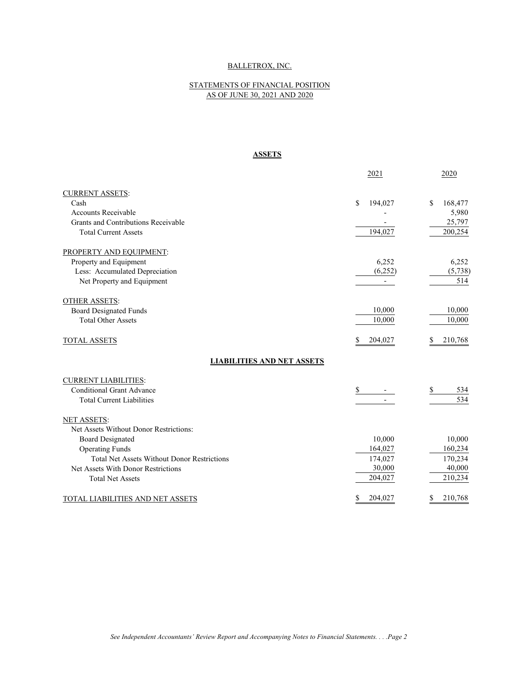# STATEMENTS OF FINANCIAL POSITION AS OF JUNE 30, 2021 AND 2020

# **ASSETS**

|                                                    | 2021                     | 2020          |
|----------------------------------------------------|--------------------------|---------------|
| <b>CURRENT ASSETS:</b>                             |                          |               |
| Cash                                               | \$<br>194,027            | 168,477<br>\$ |
| <b>Accounts Receivable</b>                         |                          | 5,980         |
| Grants and Contributions Receivable                |                          | 25,797        |
| <b>Total Current Assets</b>                        | 194,027                  | 200,254       |
| PROPERTY AND EQUIPMENT:                            |                          |               |
| Property and Equipment                             | 6,252                    | 6,252         |
| Less: Accumulated Depreciation                     | (6,252)                  | (5,738)       |
| Net Property and Equipment                         | $\overline{\phantom{0}}$ | 514           |
| <b>OTHER ASSETS:</b>                               |                          |               |
| <b>Board Designated Funds</b>                      | 10,000                   | 10,000        |
| <b>Total Other Assets</b>                          | 10,000                   | 10,000        |
| <b>TOTAL ASSETS</b>                                | 204,027<br>S             | 210,768       |
| <b>LIABILITIES AND NET ASSETS</b>                  |                          |               |
| <b>CURRENT LIABILITIES:</b>                        |                          |               |
| <b>Conditional Grant Advance</b>                   | \$                       | \$<br>534     |
| <b>Total Current Liabilities</b>                   |                          | 534           |
| <b>NET ASSETS:</b>                                 |                          |               |
| Net Assets Without Donor Restrictions:             |                          |               |
| <b>Board Designated</b>                            | 10,000                   | 10,000        |
| <b>Operating Funds</b>                             | 164,027                  | 160,234       |
| <b>Total Net Assets Without Donor Restrictions</b> | 174,027                  | 170,234       |
| Net Assets With Donor Restrictions                 | 30,000                   | 40,000        |
| <b>Total Net Assets</b>                            | 204,027                  | 210,234       |
| <b>TOTAL LIABILITIES AND NET ASSETS</b>            | \$<br>204,027            | 210,768<br>\$ |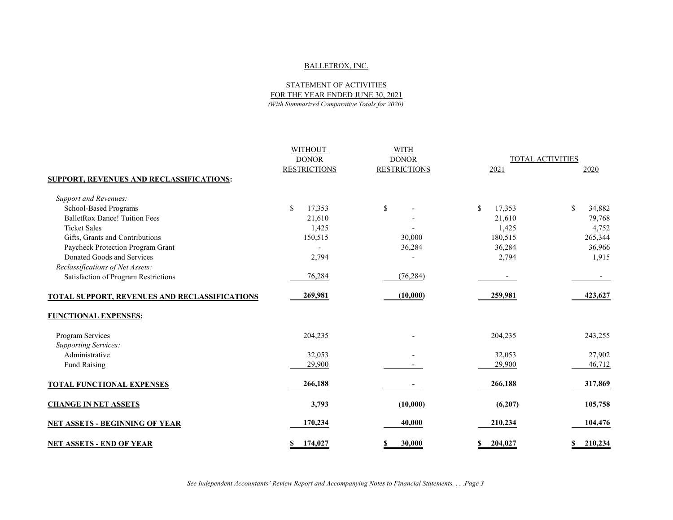#### STATEMENT OF ACTIVITIES FOR THE YEAR ENDED JUNE 30, 2021 *(With Summarized Comparative Totals for 2020)*

|                                                      | <b>WITHOUT</b>      | <b>WITH</b>         |               |                         |
|------------------------------------------------------|---------------------|---------------------|---------------|-------------------------|
|                                                      | <b>DONOR</b>        | <b>DONOR</b>        |               | <b>TOTAL ACTIVITIES</b> |
|                                                      | <b>RESTRICTIONS</b> | <b>RESTRICTIONS</b> | 2021          | 2020                    |
| SUPPORT, REVENUES AND RECLASSIFICATIONS:             |                     |                     |               |                         |
| Support and Revenues:                                |                     |                     |               |                         |
| School-Based Programs                                | \$<br>17,353        | $\mathbb S$         | \$<br>17,353  | \$<br>34,882            |
| BalletRox Dance! Tuition Fees                        | 21,610              |                     | 21,610        | 79,768                  |
| <b>Ticket Sales</b>                                  | 1,425               |                     | 1,425         | 4,752                   |
| Gifts, Grants and Contributions                      | 150,515             | 30,000              | 180,515       | 265,344                 |
| Paycheck Protection Program Grant                    |                     | 36,284              | 36,284        | 36,966                  |
| Donated Goods and Services                           | 2,794               |                     | 2,794         | 1,915                   |
| Reclassifications of Net Assets:                     |                     |                     |               |                         |
| Satisfaction of Program Restrictions                 | 76,284              | (76, 284)           | $\sim$        |                         |
| <b>TOTAL SUPPORT, REVENUES AND RECLASSIFICATIONS</b> | 269,981             | (10,000)            | 259,981       | 423,627                 |
| <b>FUNCTIONAL EXPENSES:</b>                          |                     |                     |               |                         |
| Program Services                                     | 204,235             |                     | 204,235       | 243,255                 |
| <b>Supporting Services:</b>                          |                     |                     |               |                         |
| Administrative                                       | 32,053              |                     | 32,053        | 27,902                  |
| <b>Fund Raising</b>                                  | 29,900              |                     | 29,900        | 46,712                  |
| <b>TOTAL FUNCTIONAL EXPENSES</b>                     | 266,188             |                     | 266,188       | 317,869                 |
| <b>CHANGE IN NET ASSETS</b>                          | 3,793               | (10,000)            | (6,207)       | 105,758                 |
| <b>NET ASSETS - BEGINNING OF YEAR</b>                | 170,234             | 40,000              | 210,234       | 104,476                 |
| <b>NET ASSETS - END OF YEAR</b>                      | 174,027<br>S        | 30,000<br>S         | 204,027<br>\$ | 210,234<br>\$           |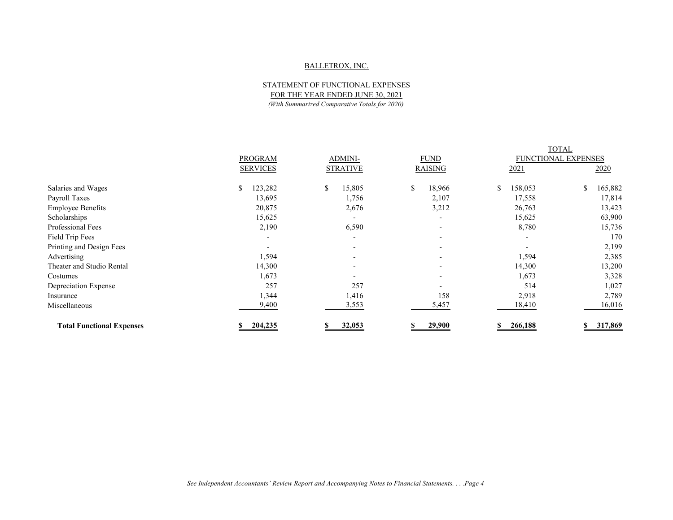| STATEMENT OF FUNCTIONAL EXPENSES              |
|-----------------------------------------------|
| FOR THE YEAR ENDED JUNE 30, 2021              |
| (With Summarized Comparative Totals for 2020) |

|                                  |                          |                          |                          |                          | <b>TOTAL</b>        |
|----------------------------------|--------------------------|--------------------------|--------------------------|--------------------------|---------------------|
|                                  | <b>PROGRAM</b>           | ADMINI-                  | <b>FUND</b>              |                          | FUNCTIONAL EXPENSES |
|                                  | <b>SERVICES</b>          | <b>STRATIVE</b>          | <b>RAISING</b>           | 2021                     | 2020                |
| Salaries and Wages               | 123,282                  | \$<br>15,805             | \$<br>18,966             | \$<br>158,053            | \$<br>165,882       |
| Payroll Taxes                    | 13,695                   | 1,756                    | 2,107                    | 17,558                   | 17,814              |
| <b>Employee Benefits</b>         | 20,875                   | 2,676                    | 3,212                    | 26,763                   | 13,423              |
| Scholarships                     | 15,625                   | $\overline{\phantom{0}}$ | $\overline{a}$           | 15,625                   | 63,900              |
| Professional Fees                | 2,190                    | 6,590                    | -                        | 8,780                    | 15,736              |
| Field Trip Fees                  | $\overline{\phantom{0}}$ | $\overline{\phantom{0}}$ | -                        | $\overline{\phantom{a}}$ | 170                 |
| Printing and Design Fees         |                          | $\overline{\phantom{0}}$ | $\overline{\phantom{0}}$ |                          | 2,199               |
| Advertising                      | 1,594                    | $\overline{\phantom{0}}$ | $\overline{a}$           | 1,594                    | 2,385               |
| Theater and Studio Rental        | 14,300                   |                          |                          | 14,300                   | 13,200              |
| Costumes                         | 1,673                    |                          | -                        | 1,673                    | 3,328               |
| Depreciation Expense             | 257                      | 257                      |                          | 514                      | 1,027               |
| Insurance                        | 1,344                    | 1,416                    | 158                      | 2,918                    | 2,789               |
| Miscellaneous                    | 9,400                    | 3,553                    | 5,457                    | 18,410                   | 16,016              |
| <b>Total Functional Expenses</b> | 204,235                  | 32,053                   | 29,900                   | 266,188                  | 317,869             |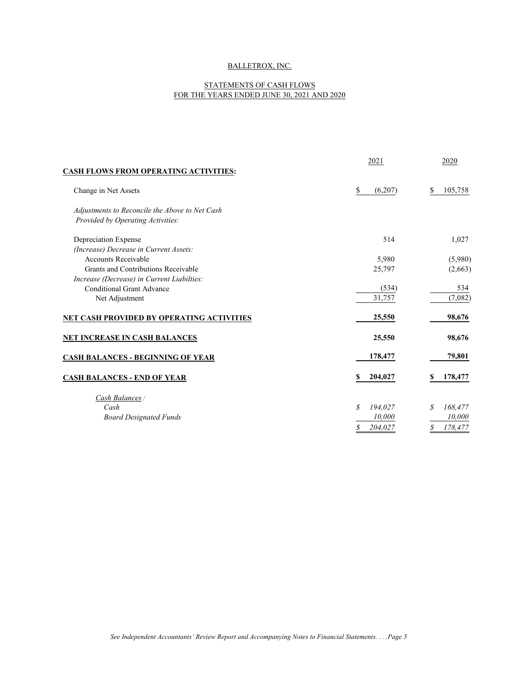#### STATEMENTS OF CASH FLOWS FOR THE YEARS ENDED JUNE 30, 2021 AND 2020

| <b>CASH FLOWS FROM OPERATING ACTIVITIES:</b>     | 2021          | 2020          |
|--------------------------------------------------|---------------|---------------|
| Change in Net Assets                             | \$<br>(6,207) | \$<br>105,758 |
| Adjustments to Reconcile the Above to Net Cash   |               |               |
| Provided by Operating Activities:                |               |               |
| Depreciation Expense                             | 514           | 1,027         |
| (Increase) Decrease in Current Assets:           |               |               |
| <b>Accounts Receivable</b>                       | 5.980         | (5,980)       |
| Grants and Contributions Receivable              | 25,797        | (2,663)       |
| Increase (Decrease) in Current Liabilties:       |               |               |
| Conditional Grant Advance                        | (534)         | 534           |
| Net Adjustment                                   | 31,757        | (7,082)       |
| <u>NET CASH PROVIDED BY OPERATING ACTIVITIES</u> | 25,550        | 98,676        |
| NET INCREASE IN CASH BALANCES                    | 25,550        | 98,676        |
| <b>CASH BALANCES - BEGINNING OF YEAR</b>         | 178,477       | 79,801        |
| <b>CASH BALANCES - END OF YEAR</b>               | 204,027       | 178,477<br>S  |
| Cash Balances:                                   |               |               |
| Cash                                             | 194.027<br>S  | 168,477<br>S  |
| <b>Board Designated Funds</b>                    | 10,000        | 10,000        |
|                                                  | 204,027<br>S  | \$<br>178,477 |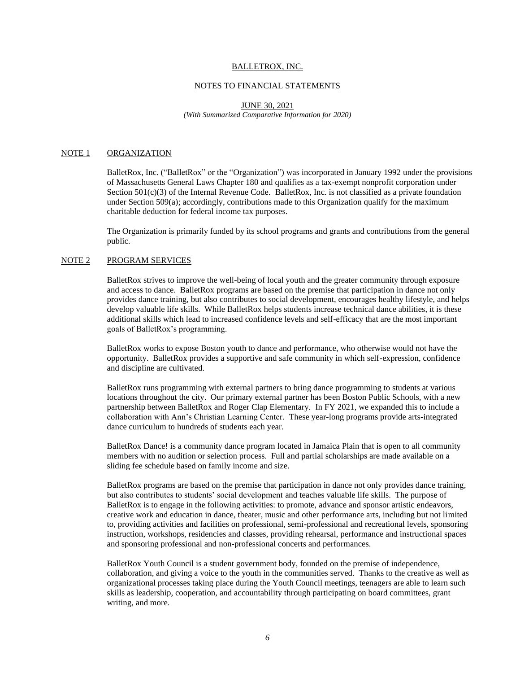#### NOTES TO FINANCIAL STATEMENTS

#### JUNE 30, 2021 *(With Summarized Comparative Information for 2020)*

#### NOTE 1 ORGANIZATION

BalletRox, Inc. ("BalletRox" or the "Organization") was incorporated in January 1992 under the provisions of Massachusetts General Laws Chapter 180 and qualifies as a tax-exempt nonprofit corporation under Section 501(c)(3) of the Internal Revenue Code. BalletRox, Inc. is not classified as a private foundation under Section 509(a); accordingly, contributions made to this Organization qualify for the maximum charitable deduction for federal income tax purposes.

The Organization is primarily funded by its school programs and grants and contributions from the general public.

#### NOTE 2 PROGRAM SERVICES

BalletRox strives to improve the well-being of local youth and the greater community through exposure and access to dance. BalletRox programs are based on the premise that participation in dance not only provides dance training, but also contributes to social development, encourages healthy lifestyle, and helps develop valuable life skills. While BalletRox helps students increase technical dance abilities, it is these additional skills which lead to increased confidence levels and self-efficacy that are the most important goals of BalletRox's programming.

BalletRox works to expose Boston youth to dance and performance, who otherwise would not have the opportunity. BalletRox provides a supportive and safe community in which self-expression, confidence and discipline are cultivated.

BalletRox runs programming with external partners to bring dance programming to students at various locations throughout the city. Our primary external partner has been Boston Public Schools, with a new partnership between BalletRox and Roger Clap Elementary. In FY 2021, we expanded this to include a collaboration with Ann's Christian Learning Center. These year-long programs provide arts-integrated dance curriculum to hundreds of students each year.

BalletRox Dance! is a community dance program located in Jamaica Plain that is open to all community members with no audition or selection process. Full and partial scholarships are made available on a sliding fee schedule based on family income and size.

BalletRox programs are based on the premise that participation in dance not only provides dance training, but also contributes to students' social development and teaches valuable life skills. The purpose of BalletRox is to engage in the following activities: to promote, advance and sponsor artistic endeavors, creative work and education in dance, theater, music and other performance arts, including but not limited to, providing activities and facilities on professional, semi-professional and recreational levels, sponsoring instruction, workshops, residencies and classes, providing rehearsal, performance and instructional spaces and sponsoring professional and non-professional concerts and performances.

BalletRox Youth Council is a student government body, founded on the premise of independence, collaboration, and giving a voice to the youth in the communities served. Thanks to the creative as well as organizational processes taking place during the Youth Council meetings, teenagers are able to learn such skills as leadership, cooperation, and accountability through participating on board committees, grant writing, and more.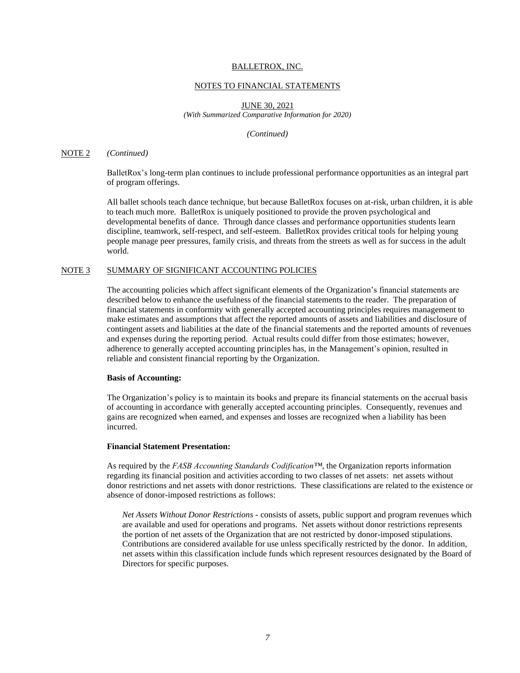#### NOTES TO FINANCIAL STATEMENTS

JUNE 30, 2021 *(With Summarized Comparative Information for 2020)*

*(Continued)*

#### NOTE 2 *(Continued)*

BalletRox's long-term plan continues to include professional performance opportunities as an integral part of program offerings.

All ballet schools teach dance technique, but because BalletRox focuses on at-risk, urban children, it is able to teach much more. BalletRox is uniquely positioned to provide the proven psychological and developmental benefits of dance. Through dance classes and performance opportunities students learn discipline, teamwork, self-respect, and self-esteem. BalletRox provides critical tools for helping young people manage peer pressures, family crisis, and threats from the streets as well as for success in the adult world.

#### NOTE 3 SUMMARY OF SIGNIFICANT ACCOUNTING POLICIES

The accounting policies which affect significant elements of the Organization's financial statements are described below to enhance the usefulness of the financial statements to the reader. The preparation of financial statements in conformity with generally accepted accounting principles requires management to make estimates and assumptions that affect the reported amounts of assets and liabilities and disclosure of contingent assets and liabilities at the date of the financial statements and the reported amounts of revenues and expenses during the reporting period. Actual results could differ from those estimates; however, adherence to generally accepted accounting principles has, in the Management's opinion, resulted in reliable and consistent financial reporting by the Organization.

#### **Basis of Accounting:**

The Organization's policy is to maintain its books and prepare its financial statements on the accrual basis of accounting in accordance with generally accepted accounting principles. Consequently, revenues and gains are recognized when earned, and expenses and losses are recognized when a liability has been incurred.

#### **Financial Statement Presentation:**

As required by the *FASB Accounting Standards Codification™*, the Organization reports information regarding its financial position and activities according to two classes of net assets: net assets without donor restrictions and net assets with donor restrictions. These classifications are related to the existence or absence of donor-imposed restrictions as follows:

*Net Assets Without Donor Restrictions* - consists of assets, public support and program revenues which are available and used for operations and programs. Net assets without donor restrictions represents the portion of net assets of the Organization that are not restricted by donor-imposed stipulations. Contributions are considered available for use unless specifically restricted by the donor. In addition, net assets within this classification include funds which represent resources designated by the Board of Directors for specific purposes.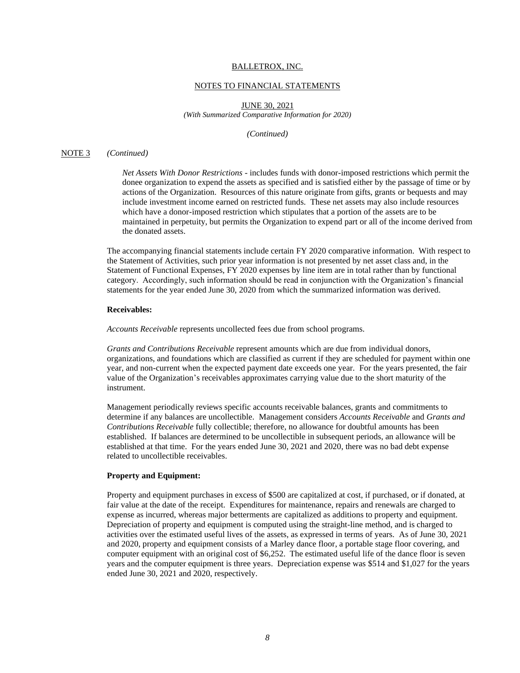#### NOTES TO FINANCIAL STATEMENTS

JUNE 30, 2021 *(With Summarized Comparative Information for 2020)*

*(Continued)*

#### NOTE 3 *(Continued)*

*Net Assets With Donor Restrictions* - includes funds with donor-imposed restrictions which permit the donee organization to expend the assets as specified and is satisfied either by the passage of time or by actions of the Organization. Resources of this nature originate from gifts, grants or bequests and may include investment income earned on restricted funds. These net assets may also include resources which have a donor-imposed restriction which stipulates that a portion of the assets are to be maintained in perpetuity, but permits the Organization to expend part or all of the income derived from the donated assets.

The accompanying financial statements include certain FY 2020 comparative information. With respect to the Statement of Activities, such prior year information is not presented by net asset class and, in the Statement of Functional Expenses, FY 2020 expenses by line item are in total rather than by functional category. Accordingly, such information should be read in conjunction with the Organization's financial statements for the year ended June 30, 2020 from which the summarized information was derived.

#### **Receivables:**

*Accounts Receivable* represents uncollected fees due from school programs.

*Grants and Contributions Receivable* represent amounts which are due from individual donors, organizations, and foundations which are classified as current if they are scheduled for payment within one year, and non-current when the expected payment date exceeds one year. For the years presented, the fair value of the Organization's receivables approximates carrying value due to the short maturity of the instrument.

Management periodically reviews specific accounts receivable balances, grants and commitments to determine if any balances are uncollectible. Management considers *Accounts Receivable* and *Grants and Contributions Receivable* fully collectible; therefore, no allowance for doubtful amounts has been established. If balances are determined to be uncollectible in subsequent periods, an allowance will be established at that time. For the years ended June 30, 2021 and 2020, there was no bad debt expense related to uncollectible receivables.

#### **Property and Equipment:**

Property and equipment purchases in excess of \$500 are capitalized at cost, if purchased, or if donated, at fair value at the date of the receipt. Expenditures for maintenance, repairs and renewals are charged to expense as incurred, whereas major betterments are capitalized as additions to property and equipment. Depreciation of property and equipment is computed using the straight-line method, and is charged to activities over the estimated useful lives of the assets, as expressed in terms of years. As of June 30, 2021 and 2020, property and equipment consists of a Marley dance floor, a portable stage floor covering, and computer equipment with an original cost of \$6,252. The estimated useful life of the dance floor is seven years and the computer equipment is three years. Depreciation expense was \$514 and \$1,027 for the years ended June 30, 2021 and 2020, respectively.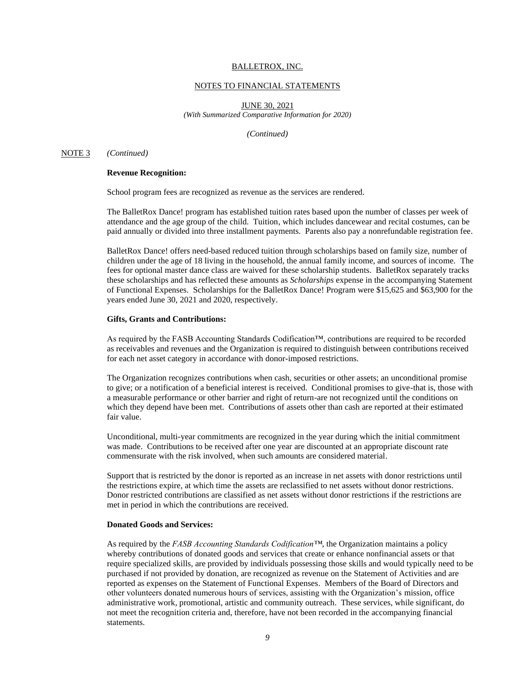#### NOTES TO FINANCIAL STATEMENTS

JUNE 30, 2021 *(With Summarized Comparative Information for 2020)*

*(Continued)*

#### NOTE 3 *(Continued)*

#### **Revenue Recognition:**

School program fees are recognized as revenue as the services are rendered.

The BalletRox Dance! program has established tuition rates based upon the number of classes per week of attendance and the age group of the child. Tuition, which includes dancewear and recital costumes, can be paid annually or divided into three installment payments. Parents also pay a nonrefundable registration fee.

BalletRox Dance! offers need-based reduced tuition through scholarships based on family size, number of children under the age of 18 living in the household, the annual family income, and sources of income. The fees for optional master dance class are waived for these scholarship students. BalletRox separately tracks these scholarships and has reflected these amounts as *Scholarships* expense in the accompanying Statement of Functional Expenses. Scholarships for the BalletRox Dance! Program were \$15,625 and \$63,900 for the years ended June 30, 2021 and 2020, respectively.

#### **Gifts, Grants and Contributions:**

As required by the FASB Accounting Standards Codification™, contributions are required to be recorded as receivables and revenues and the Organization is required to distinguish between contributions received for each net asset category in accordance with donor-imposed restrictions.

The Organization recognizes contributions when cash, securities or other assets; an unconditional promise to give; or a notification of a beneficial interest is received. Conditional promises to give-that is, those with a measurable performance or other barrier and right of return-are not recognized until the conditions on which they depend have been met. Contributions of assets other than cash are reported at their estimated fair value.

Unconditional, multi-year commitments are recognized in the year during which the initial commitment was made. Contributions to be received after one year are discounted at an appropriate discount rate commensurate with the risk involved, when such amounts are considered material.

Support that is restricted by the donor is reported as an increase in net assets with donor restrictions until the restrictions expire, at which time the assets are reclassified to net assets without donor restrictions. Donor restricted contributions are classified as net assets without donor restrictions if the restrictions are met in period in which the contributions are received.

#### **Donated Goods and Services:**

As required by the *FASB Accounting Standards Codification™*, the Organization maintains a policy whereby contributions of donated goods and services that create or enhance nonfinancial assets or that require specialized skills, are provided by individuals possessing those skills and would typically need to be purchased if not provided by donation, are recognized as revenue on the Statement of Activities and are reported as expenses on the Statement of Functional Expenses. Members of the Board of Directors and other volunteers donated numerous hours of services, assisting with the Organization's mission, office administrative work, promotional, artistic and community outreach. These services, while significant, do not meet the recognition criteria and, therefore, have not been recorded in the accompanying financial statements.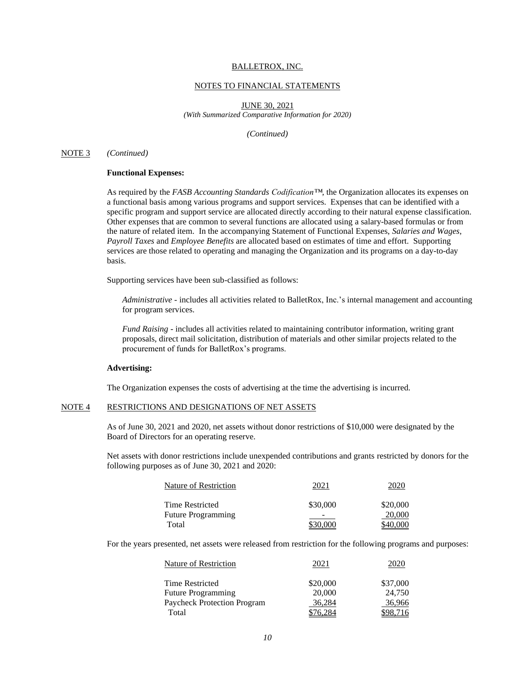#### NOTES TO FINANCIAL STATEMENTS

JUNE 30, 2021 *(With Summarized Comparative Information for 2020)*

*(Continued)*

#### NOTE 3 *(Continued)*

#### **Functional Expenses:**

As required by the *FASB Accounting Standards Codification™*, the Organization allocates its expenses on a functional basis among various programs and support services. Expenses that can be identified with a specific program and support service are allocated directly according to their natural expense classification. Other expenses that are common to several functions are allocated using a salary-based formulas or from the nature of related item. In the accompanying Statement of Functional Expenses, *Salaries and Wages*, *Payroll Taxes* and *Employee Benefits* are allocated based on estimates of time and effort. Supporting services are those related to operating and managing the Organization and its programs on a day-to-day basis.

Supporting services have been sub-classified as follows:

*Administrative* - includes all activities related to BalletRox, Inc.'s internal management and accounting for program services.

*Fund Raising* - includes all activities related to maintaining contributor information, writing grant proposals, direct mail solicitation, distribution of materials and other similar projects related to the procurement of funds for BalletRox's programs.

#### **Advertising:**

The Organization expenses the costs of advertising at the time the advertising is incurred.

#### NOTE 4 RESTRICTIONS AND DESIGNATIONS OF NET ASSETS

As of June 30, 2021 and 2020, net assets without donor restrictions of \$10,000 were designated by the Board of Directors for an operating reserve.

Net assets with donor restrictions include unexpended contributions and grants restricted by donors for the following purposes as of June 30, 2021 and 2020:

| Nature of Restriction     | 2021     | 2020     |
|---------------------------|----------|----------|
| Time Restricted           | \$30,000 | \$20,000 |
| <b>Future Programming</b> | -        | 20,000   |
| Total                     | \$30.000 | .000     |

For the years presented, net assets were released from restriction for the following programs and purposes:

| Nature of Restriction       | (11)     | 2020     |
|-----------------------------|----------|----------|
| Time Restricted             | \$20,000 | \$37,000 |
| <b>Future Programming</b>   | 20,000   | 24.750   |
| Paycheck Protection Program | 36.284   | 36,966   |
| Total                       |          | 18 716   |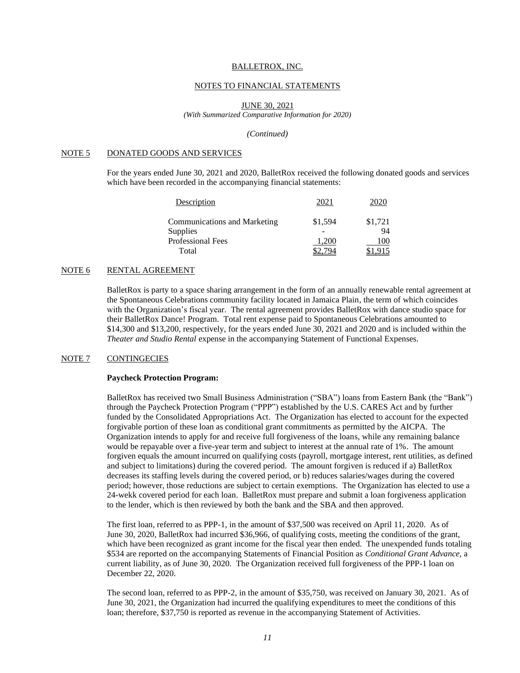#### NOTES TO FINANCIAL STATEMENTS

#### JUNE 30, 2021

*(With Summarized Comparative Information for 2020)*

#### *(Continued)*

#### NOTE 5 DONATED GOODS AND SERVICES

For the years ended June 30, 2021 and 2020, BalletRox received the following donated goods and services which have been recorded in the accompanying financial statements:

| Description                         |         |         |
|-------------------------------------|---------|---------|
| <b>Communications and Marketing</b> | \$1,594 | \$1,721 |
| <b>Supplies</b>                     |         | 94      |
| <b>Professional Fees</b>            | 1.200   | 100     |
| Total                               |         |         |

#### NOTE 6 RENTAL AGREEMENT

BalletRox is party to a space sharing arrangement in the form of an annually renewable rental agreement at the Spontaneous Celebrations community facility located in Jamaica Plain, the term of which coincides with the Organization's fiscal year. The rental agreement provides BalletRox with dance studio space for their BalletRox Dance! Program. Total rent expense paid to Spontaneous Celebrations amounted to \$14,300 and \$13,200, respectively, for the years ended June 30, 2021 and 2020 and is included within the *Theater and Studio Rental* expense in the accompanying Statement of Functional Expenses.

#### NOTE 7 CONTINGECIES

#### **Paycheck Protection Program:**

BalletRox has received two Small Business Administration ("SBA") loans from Eastern Bank (the "Bank") through the Paycheck Protection Program ("PPP") established by the U.S. CARES Act and by further funded by the Consolidated Appropriations Act. The Organization has elected to account for the expected forgivable portion of these loan as conditional grant commitments as permitted by the AICPA. The Organization intends to apply for and receive full forgiveness of the loans, while any remaining balance would be repayable over a five-year term and subject to interest at the annual rate of 1%. The amount forgiven equals the amount incurred on qualifying costs (payroll, mortgage interest, rent utilities, as defined and subject to limitations) during the covered period. The amount forgiven is reduced if a) BalletRox decreases its staffing levels during the covered period, or b) reduces salaries/wages during the covered period; however, those reductions are subject to certain exemptions. The Organization has elected to use a 24-wekk covered period for each loan. BalletRox must prepare and submit a loan forgiveness application to the lender, which is then reviewed by both the bank and the SBA and then approved.

The first loan, referred to as PPP-1, in the amount of \$37,500 was received on April 11, 2020. As of June 30, 2020, BalletRox had incurred \$36,966, of qualifying costs, meeting the conditions of the grant, which have been recognized as grant income for the fiscal year then ended. The unexpended funds totaling \$534 are reported on the accompanying Statements of Financial Position as *Conditional Grant Advance,* a current liability, as of June 30, 2020. The Organization received full forgiveness of the PPP-1 loan on December 22, 2020.

The second loan, referred to as PPP-2, in the amount of \$35,750, was received on January 30, 2021. As of June 30, 2021, the Organization had incurred the qualifying expenditures to meet the conditions of this loan; therefore, \$37,750 is reported as revenue in the accompanying Statement of Activities.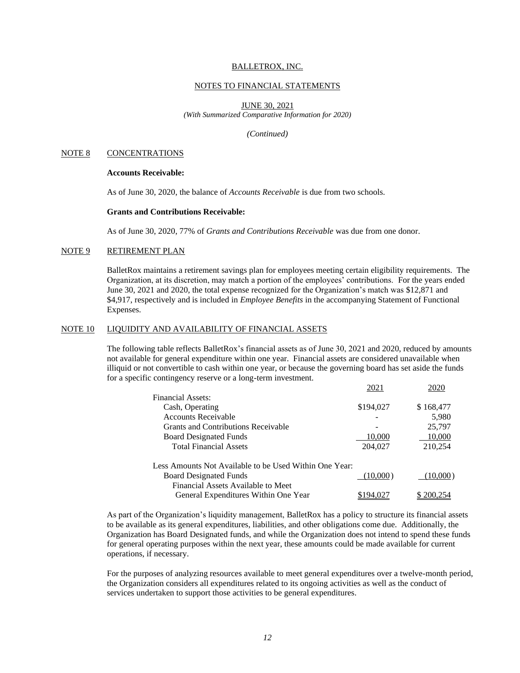#### NOTES TO FINANCIAL STATEMENTS

JUNE 30, 2021

*(With Summarized Comparative Information for 2020)*

*(Continued)*

#### NOTE 8 CONCENTRATIONS

#### **Accounts Receivable:**

As of June 30, 2020, the balance of *Accounts Receivable* is due from two schools.

#### **Grants and Contributions Receivable:**

As of June 30, 2020, 77% of *Grants and Contributions Receivable* was due from one donor.

#### NOTE 9 RETIREMENT PLAN

BalletRox maintains a retirement savings plan for employees meeting certain eligibility requirements. The Organization, at its discretion, may match a portion of the employees' contributions. For the years ended June 30, 2021 and 2020, the total expense recognized for the Organization's match was \$12,871 and \$4,917, respectively and is included in *Employee Benefits* in the accompanying Statement of Functional Expenses.

#### NOTE 10 LIQUIDITY AND AVAILABILITY OF FINANCIAL ASSETS

The following table reflects BalletRox's financial assets as of June 30, 2021 and 2020, reduced by amounts not available for general expenditure within one year. Financial assets are considered unavailable when illiquid or not convertible to cash within one year, or because the governing board has set aside the funds for a specific contingency reserve or a long-term investment.

|                                                        | ZUZI      | ZUZU      |
|--------------------------------------------------------|-----------|-----------|
| Financial Assets:                                      |           |           |
| Cash, Operating                                        | \$194,027 | \$168,477 |
| <b>Accounts Receivable</b>                             |           | 5,980     |
| <b>Grants and Contributions Receivable</b>             |           | 25,797    |
| <b>Board Designated Funds</b>                          | 10,000    | 10,000    |
| <b>Total Financial Assets</b>                          | 204,027   | 210,254   |
| Less Amounts Not Available to be Used Within One Year: |           |           |
| <b>Board Designated Funds</b>                          | (10,000)  | (10,000)  |
| Financial Assets Available to Meet                     |           |           |
| General Expenditures Within One Year                   | 94.027    |           |

2021 2020

As part of the Organization's liquidity management, BalletRox has a policy to structure its financial assets to be available as its general expenditures, liabilities, and other obligations come due. Additionally, the Organization has Board Designated funds, and while the Organization does not intend to spend these funds for general operating purposes within the next year, these amounts could be made available for current operations, if necessary.

For the purposes of analyzing resources available to meet general expenditures over a twelve-month period, the Organization considers all expenditures related to its ongoing activities as well as the conduct of services undertaken to support those activities to be general expenditures.